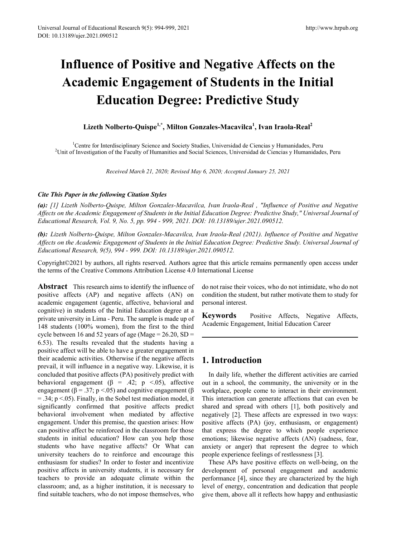# **Influence of Positive and Negative Affects on the Academic Engagement of Students in the Initial Education Degree: Predictive Study**

**Lizeth Nolberto-Quispe1,\*, Milton Gonzales-Macavilca1 , Ivan Iraola-Real<sup>2</sup>**

<sup>1</sup>Centre for Interdisciplinary Science and Society Studies, Universidad de Ciencias y Humanidades, Peru <sup>2</sup>Unit of Investigation of the Faculty of Humanities and Social Sciences, Universidad de Ciencias y Humanidade <sup>2</sup>Unit of Investigation of the Faculty of Humanities and Social Sciences, Universidad de Ciencias y Humanidades, Peru

*Received March 21, 2020; Revised May 6, 2020; Accepted January 25, 2021*

#### *Cite This Paper in the following Citation Styles*

*(a): [1] Lizeth Nolberto-Quispe, Milton Gonzales-Macavilca, Ivan Iraola-Real , "Influence of Positive and Negative Affects on the Academic Engagement of Students in the Initial Education Degree: Predictive Study," Universal Journal of Educational Research, Vol. 9, No. 5, pp. 994 - 999, 2021. DOI: 10.13189/ujer.2021.090512.* 

*(b): Lizeth Nolberto-Quispe, Milton Gonzales-Macavilca, Ivan Iraola-Real (2021). Influence of Positive and Negative Affects on the Academic Engagement of Students in the Initial Education Degree: Predictive Study. Universal Journal of Educational Research, 9(5), 994 - 999. DOI: 10.13189/ujer.2021.090512.* 

Copyright©2021 by authors, all rights reserved. Authors agree that this article remains permanently open access under the terms of the Creative Commons Attribution License 4.0 International License

**Abstract** This research aims to identify the influence of positive affects (AP) and negative affects (AN) on academic engagement (agentic, affective, behavioral and cognitive) in students of the Initial Education degree at a private university in Lima - Peru. The sample is made up of 148 students (100% women), from the first to the third cycle between 16 and 52 years of age (Mage =  $26.20$ , SD = 6.53). The results revealed that the students having a positive affect will be able to have a greater engagement in their academic activities. Otherwise if the negative affects prevail, it will influence in a negative way. Likewise, it is concluded that positive affects (PA) positively predict with behavioral engagement ( $\beta$  = .42; p <.05), affective engagement ( $\beta$  = .37; p <.05) and cognitive engagement ( $\beta$  $=$  .34; p <.05). Finally, in the Sobel test mediation model, it significantly confirmed that positive affects predict behavioral involvement when mediated by affective engagement. Under this premise, the question arises: How can positive affect be reinforced in the classroom for those students in initial education? How can you help those students who have negative affects? Or What can university teachers do to reinforce and encourage this enthusiasm for studies? In order to foster and incentivize positive affects in university students, it is necessary for teachers to provide an adequate climate within the classroom; and, as a higher institution, it is necessary to find suitable teachers, who do not impose themselves, who

do not raise their voices, who do not intimidate, who do not condition the student, but rather motivate them to study for personal interest.

**Keywords** Positive Affects, Negative Affects, Academic Engagement, Initial Education Career

## **1. Introduction**

In daily life, whether the different activities are carried out in a school, the community, the university or in the workplace, people come to interact in their environment. This interaction can generate affections that can even be shared and spread with others [1], both positively and negatively [2]. These affects are expressed in two ways: positive affects (PA) (joy, enthusiasm, or engagement) that express the degree to which people experience emotions; likewise negative affects (AN) (sadness, fear, anxiety or anger) that represent the degree to which people experience feelings of restlessness [3].

These APs have positive effects on well-being, on the development of personal engagement and academic performance [4], since they are characterized by the high level of energy, concentration and dedication that people give them, above all it reflects how happy and enthusiastic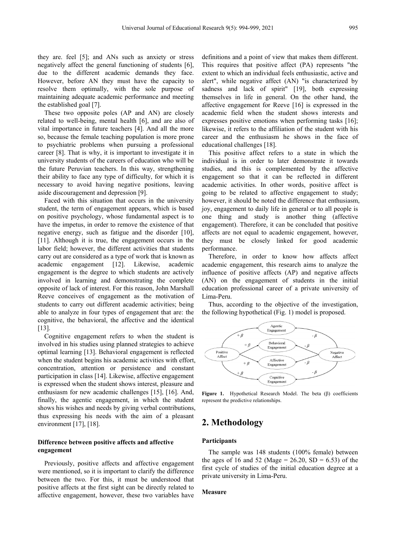they are. feel [5]; and ANs such as anxiety or stress negatively affect the general functioning of students [6], due to the different academic demands they face. However, before AN they must have the capacity to resolve them optimally, with the sole purpose of maintaining adequate academic performance and meeting the established goal [7].

These two opposite poles (AP and AN) are closely related to well-being, mental health [6], and are also of vital importance in future teachers [4]. And all the more so, because the female teaching population is more prone to psychiatric problems when pursuing a professional career [8]. That is why, it is important to investigate it in university students of the careers of education who will be the future Peruvian teachers. In this way, strengthening their ability to face any type of difficulty, for which it is necessary to avoid having negative positions, leaving aside discouragement and depression [9].

Faced with this situation that occurs in the university student, the term of engagement appears, which is based on positive psychology, whose fundamental aspect is to have the impetus, in order to remove the existence of that negative energy, such as fatigue and the disorder [10], [11]. Although it is true, the engagement occurs in the labor field; however, the different activities that students carry out are considered as a type of work that is known as academic engagement [12]. Likewise, academic engagement is the degree to which students are actively involved in learning and demonstrating the complete opposite of lack of interest. For this reason, John Marshall Reeve conceives of engagement as the motivation of students to carry out different academic activities; being able to analyze in four types of engagement that are: the cognitive, the behavioral, the affective and the identical [13].

Cognitive engagement refers to when the student is involved in his studies using planned strategies to achieve optimal learning [13]. Behavioral engagement is reflected when the student begins his academic activities with effort, concentration, attention or persistence and constant participation in class [14]. Likewise, affective engagement is expressed when the student shows interest, pleasure and enthusiasm for new academic challenges [15], [16]. And, finally, the agentic engagement, in which the student shows his wishes and needs by giving verbal contributions, thus expressing his needs with the aim of a pleasant environment [17], [18].

## **Difference between positive affects and affective engagement**

Previously, positive affects and affective engagement were mentioned, so it is important to clarify the difference between the two. For this, it must be understood that positive affects at the first sight can be directly related to affective engagement, however, these two variables have

definitions and a point of view that makes them different. This requires that positive affect (PA) represents "the extent to which an individual feels enthusiastic, active and alert", while negative affect (AN) "is characterized by sadness and lack of spirit" [19], both expressing themselves in life in general. On the other hand, the affective engagement for Reeve [16] is expressed in the academic field when the student shows interests and expresses positive emotions when performing tasks [16]; likewise, it refers to the affiliation of the student with his career and the enthusiasm he shows in the face of educational challenges [18].

This positive affect refers to a state in which the individual is in order to later demonstrate it towards studies, and this is complemented by the affective engagement so that it can be reflected in different academic activities. In other words, positive affect is going to be related to affective engagement to study; however, it should be noted the difference that enthusiasm, joy, engagement to daily life in general or to all people is one thing and study is another thing (affective engagement). Therefore, it can be concluded that positive affects are not equal to academic engagement, however, they must be closely linked for good academic performance.

Therefore, in order to know how affects affect academic engagement, this research aims to analyze the influence of positive affects (AP) and negative affects (AN) on the engagement of students in the initial education professional career of a private university of Lima-Peru.

Thus, according to the objective of the investigation, the following hypothetical (Fig. 1) model is proposed.



**Figure 1.** Hypothetical Research Model. The beta (β) coefficients represent the predictive relationships.

# **2. Methodology**

## **Participants**

The sample was 148 students (100% female) between the ages of 16 and 52 (Mage =  $26.20$ , SD =  $6.53$ ) of the first cycle of studies of the initial education degree at a private university in Lima-Peru.

#### **Measure**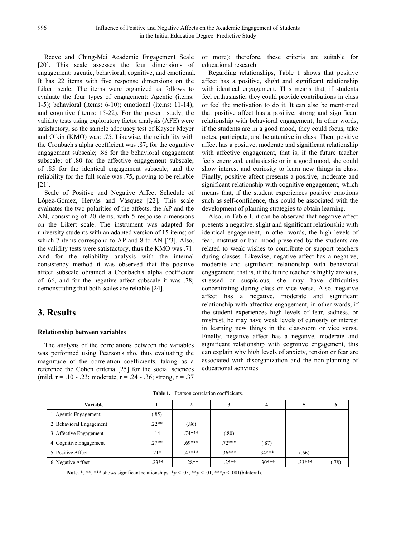Reeve and Ching-Mei Academic Engagement Scale [20]. This scale assesses the four dimensions of engagement: agentic, behavioral, cognitive, and emotional. It has 22 items with five response dimensions on the Likert scale. The items were organized as follows to evaluate the four types of engagement: Agentic (items: 1-5); behavioral (items: 6-10); emotional (items: 11-14); and cognitive (items: 15-22). For the present study, the validity tests using exploratory factor analysis (AFE) were satisfactory, so the sample adequacy test of Kayser Meyer and Olkin (KMO) was: .75. Likewise, the reliability with the Cronbach's alpha coefficient was .87; for the cognitive engagement subscale; .86 for the behavioral engagement subscale; of .80 for the affective engagement subscale; of .85 for the identical engagement subscale; and the reliability for the full scale was .75, proving to be reliable [21].

Scale of Positive and Negative Affect Schedule of López-Gómez, Hervás and Vásquez [22]. This scale evaluates the two polarities of the affects, the AP and the AN, consisting of 20 items, with 5 response dimensions on the Likert scale. The instrument was adapted for university students with an adapted version of 15 items; of which 7 items correspond to AP and 8 to AN [23]. Also, the validity tests were satisfactory, thus the KMO was .71. And for the reliability analysis with the internal consistency method it was observed that the positive affect subscale obtained a Cronbach's alpha coefficient of .66, and for the negative affect subscale it was .78; demonstrating that both scales are reliable [24].

## **3. Results**

## **Relationship between variables**

The analysis of the correlations between the variables was performed using Pearson's rho, thus evaluating the magnitude of the correlation coefficients, taking as a reference the Cohen criteria [25] for the social sciences (mild,  $r = .10 - .23$ ; moderate,  $r = .24 - .36$ ; strong,  $r = .37$  or more); therefore, these criteria are suitable for educational research.

Regarding relationships, Table 1 shows that positive affect has a positive, slight and significant relationship with identical engagement. This means that, if students feel enthusiastic, they could provide contributions in class or feel the motivation to do it. It can also be mentioned that positive affect has a positive, strong and significant relationship with behavioral engagement; In other words, if the students are in a good mood, they could focus, take notes, participate, and be attentive in class. Then, positive affect has a positive, moderate and significant relationship with affective engagement, that is, if the future teacher feels energized, enthusiastic or in a good mood, she could show interest and curiosity to learn new things in class. Finally, positive affect presents a positive, moderate and significant relationship with cognitive engagement, which means that, if the student experiences positive emotions such as self-confidence, this could be associated with the development of planning strategies to obtain learning.

Also, in Table 1, it can be observed that negative affect presents a negative, slight and significant relationship with identical engagement, in other words, the high levels of fear, mistrust or bad mood presented by the students are related to weak wishes to contribute or support teachers during classes. Likewise, negative affect has a negative, moderate and significant relationship with behavioral engagement, that is, if the future teacher is highly anxious, stressed or suspicious, she may have difficulties concentrating during class or vice versa. Also, negative affect has a negative, moderate and significant relationship with affective engagement, in other words, if the student experiences high levels of fear, sadness, or mistrust, he may have weak levels of curiosity or interest in learning new things in the classroom or vice versa. Finally, negative affect has a negative, moderate and significant relationship with cognitive engagement, this can explain why high levels of anxiety, tension or fear are associated with disorganization and the non-planning of educational activities.

| Variable                 |         |          |          |          |          |      |
|--------------------------|---------|----------|----------|----------|----------|------|
| 1. Agentic Engagement    | (85)    |          |          |          |          |      |
| 2. Behavioral Engagement | $22**$  | .86)     |          |          |          |      |
| 3. Affective Engagement  | .14     | $74***$  | (.80)    |          |          |      |
| 4. Cognitive Engagement  | $27**$  | $.69***$ | $.72***$ | (.87)    |          |      |
| 5. Positive Affect       | $.21*$  | $42***$  | $36***$  | $34***$  | (66)     |      |
| 6. Negative Affect       | $-23**$ | $-28**$  | $-25**$  | $-30***$ | $-33***$ | (78) |

**Table 1.** Pearson correlation coefficients.

Note. \*, \*\*, \*\*\* shows significant relationships.  $\bm{\gamma} > .05$ , \*\* $p < .01$ , \*\*\* $p < .001$ (bilateral).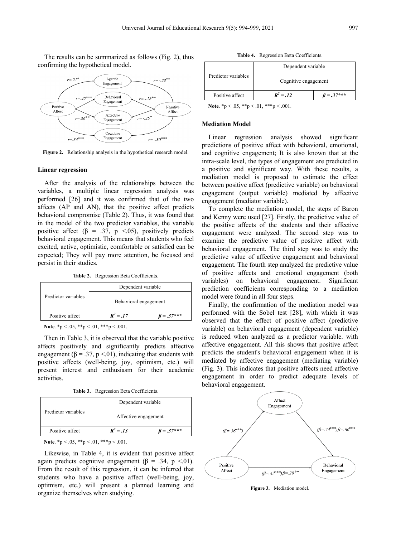The results can be summarized as follows (Fig. 2), thus confirming the hypothetical model.



**Figure 2.** Relationship analysis in the hypothetical research model.

#### **Linear regression**

After the analysis of the relationships between the variables, a multiple linear regression analysis was performed [26] and it was confirmed that of the two affects (AP and AN), that the positive affect predicts behavioral compromise (Table 2). Thus, it was found that in the model of the two predictor variables, the variable positive affect ( $\beta$  = .37, p <.05), positively predicts behavioral engagement. This means that students who feel excited, active, optimistic, comfortable or satisfied can be expected; They will pay more attention, be focused and persist in their studies.

**Table 2.** Regression Beta Coefficients.

|                     | Dependent variable    |                  |  |
|---------------------|-----------------------|------------------|--|
| Predictor variables | Behavioral engagement |                  |  |
| Positive affect     | $R^2 = 0.17$          | $\beta = .37***$ |  |

**Note**. \*p < .05, \*\*p < .01, \*\*\*p < .001.

Then in Table 3, it is observed that the variable positive affects positively and significantly predicts affective engagement ( $\beta = 0.37$ , p < 0.01), indicating that students with positive affects (well-being, joy, optimism, etc.) will present interest and enthusiasm for their academic activities.

**Table 3.** Regression Beta Coefficients.

|                     | Dependent variable   |                  |  |
|---------------------|----------------------|------------------|--|
| Predictor variables | Affective engagement |                  |  |
| Positive affect     | $R^2 = .13$          | $\beta = .37***$ |  |

**Note**. \*p < .05, \*\*p < .01, \*\*\*p < .001.

Likewise, in Table 4, it is evident that positive affect again predicts cognitive engagement ( $\beta = .34$ , p <.01). From the result of this regression, it can be inferred that students who have a positive affect (well-being, joy, optimism, etc.) will present a planned learning and organize themselves when studying.

**Table 4.** Regression Beta Coefficients.

|                     | Dependent variable   |                  |  |
|---------------------|----------------------|------------------|--|
| Predictor variables | Cognitive engagement |                  |  |
| Positive affect     | $R^2 = .12$          | $\beta = .37***$ |  |

**Note**. \*p < .05, \*\*p < .01, \*\*\*p < .001.

#### **Mediation Model**

Linear regression analysis showed significant predictions of positive affect with behavioral, emotional, and cognitive engagement; It is also known that at the intra-scale level, the types of engagement are predicted in a positive and significant way. With these results, a mediation model is proposed to estimate the effect between positive affect (predictive variable) on behavioral engagement (output variable) mediated by affective engagement (mediator variable).

To complete the mediation model, the steps of Baron and Kenny were used [27]. Firstly, the predictive value of the positive affects of the students and their affective engagement were analyzed. The second step was to examine the predictive value of positive affect with behavioral engagement. The third step was to study the predictive value of affective engagement and behavioral engagement. The fourth step analyzed the predictive value of positive affects and emotional engagement (both variables) on behavioral engagement. Significant prediction coefficients corresponding to a mediation model were found in all four steps.

Finally, the confirmation of the mediation model was performed with the Sobel test [28], with which it was observed that the effect of positive affect (predictive variable) on behavioral engagement (dependent variable) is reduced when analyzed as a predictor variable. with affective engagement. All this shows that positive affect predicts the student's behavioral engagement when it is mediated by affective engagement (mediating variable) (Fig. 3). This indicates that positive affects need affective engagement in order to predict adequate levels of behavioral engagement.



**Figure 3.** Mediation model.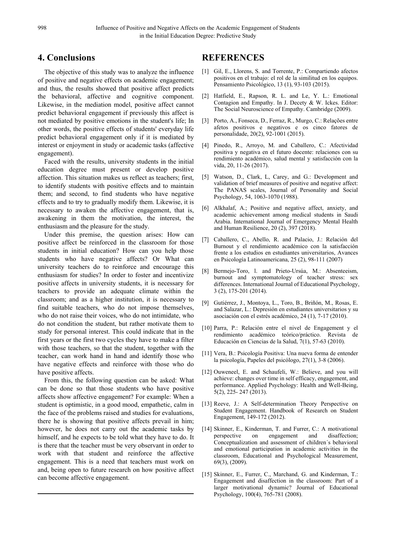## **4. Conclusions**

The objective of this study was to analyze the influence of positive and negative effects on academic engagement; and thus, the results showed that positive affect predicts the behavioral, affective and cognitive component. Likewise, in the mediation model, positive affect cannot predict behavioral engagement if previously this affect is not mediated by positive emotions in the student's life; In other words, the positive effects of students' everyday life predict behavioral engagement only if it is mediated by interest or enjoyment in study or academic tasks (affective engagement).

Faced with the results, university students in the initial education degree must present or develop positive affection. This situation makes us reflect as teachers; first, to identify students with positive effects and to maintain them; and second, to find students who have negative effects and to try to gradually modify them. Likewise, it is necessary to awaken the affective engagement, that is, awakening in them the motivation, the interest, the enthusiasm and the pleasure for the study.

Under this premise, the question arises: How can positive affect be reinforced in the classroom for those students in initial education? How can you help those students who have negative affects? Or What can university teachers do to reinforce and encourage this enthusiasm for studies? In order to foster and incentivize positive affects in university students, it is necessary for teachers to provide an adequate climate within the classroom; and as a higher institution, it is necessary to find suitable teachers, who do not impose themselves, who do not raise their voices, who do not intimidate, who do not condition the student, but rather motivate them to study for personal interest. This could indicate that in the first years or the first two cycles they have to make a filter with those teachers, so that the student, together with the teacher, can work hand in hand and identify those who have negative effects and reinforce with those who do have positive affects.

From this, the following question can be asked: What can be done so that those students who have positive affects show affective engagement? For example: When a student is optimistic, in a good mood, empathetic, calm in the face of the problems raised and studies for evaluations, there he is showing that positive affects prevail in him; however, he does not carry out the academic tasks by himself, and he expects to be told what they have to do. It is there that the teacher must be very observant in order to work with that student and reinforce the affective engagement. This is a need that teachers must work on and, being open to future research on how positive affect can become affective engagement.

## **REFERENCES**

- [1] Gil, E., Llorens, S. and Torrente, P.: Compartiendo afectos positivos en el trabajo: el rol de la similitud en los equipos. Pensamiento Psicológico, 13 (1), 93-103 (2015).
- [2] Hatfield, E., Rapson, R. L. and Le, Y. L.: Emotional Contagion and Empathy. In J. Decety & W. Ickes. Editor: The Social Neuroscience of Empathy. Cambridge (2009).
- [3] Porto, A., Fonseca, D., Ferraz, R., Murgo, C.: Relações entre afetos positivos e negativos e os cinco fatores de personalidade, 20(2), 92-1001 (2015).
- [4] Pinedo, R., Arroyo, M. and Caballero, C.: Afectividad positiva y negativa en el futuro docente: relaciones con su rendimiento académico, salud mental y satisfacción con la vida, 20, 11-26 (2017).
- [5] Watson, D., Clark, L, Carey, and G.: Development and validation of brief measures of positive and negative affect: The PANAS scales, Journal of Personality and Social Psychology, 54, 1063-1070 (1988).
- [6] Alkhalaf, A.; Positive and negative affect, anxiety, and academic achievement among medical students in Saudi Arabia. International Journal of Emergency Mental Health and Human Resilience, 20 (2), 397 (2018).
- [7] Caballero, C., Abello, R. and Palacio, J.: Relación del Burnout y el rendimiento académico con la satisfacción frente a los estudios en estudiantes universitarios, Avances en Psicología Latinoamericana, 25 (2), 98-111 (2007)
- [8] Bermejo-Toro, l. and Prieto-Ursúa, M.: Absenteeism, burnout and symptomatology of teacher stress: sex differences. International Journal of Educational Psychology, 3 (2), 175-201 (2014).
- [9] Gutiérrez, J., Montoya, L., Toro, B., Briñón, M., Rosas, E. and Salazar, L.: Depresión en estudiantes universitarios y su asociación con el estrés académico, 24 (1), 7-17 (2010).
- [10] Parra, P.: Relación entre el nivel de Engagement y el rendimiento académico teórico/práctico. Revista de Educación en Ciencias de la Salud, 7(1), 57-63 (2010).
- [11] Vera, B.: Psicología Positiva: Una nueva forma de entender la psicología, Papeles del psicólogo, 27(1), 3-8 (2006).
- [12] Ouweneel, E. and Schaufeli, W.: Believe, and you will achieve: changes over time in self efficacy, engagement, and performance. Applied Psychology: Health and Well-Being, 5(2), 225- 247 (2013).
- [13] Reeve, J.: A Self-determination Theory Perspective on Student Engagement. Handbook of Research on Student Engagement, 149-172 (2012).
- [14] Skinner, E., Kinderman, T. and Furrer, C.: A motivational perspective on engagement and disaffection; Conceptualization and assessment of children´s behavioral and emotional participation in academic activities in the classroom, Educational and Psychological Measurement, 69(3), (2009).
- [15] Skinner, E., Furrer, C., Marchand, G. and Kinderman, T.: Engagement and disaffection in the classroom: Part of a larger motivational dynamic? Journal of Educational Psychology, 100(4), 765-781 (2008).